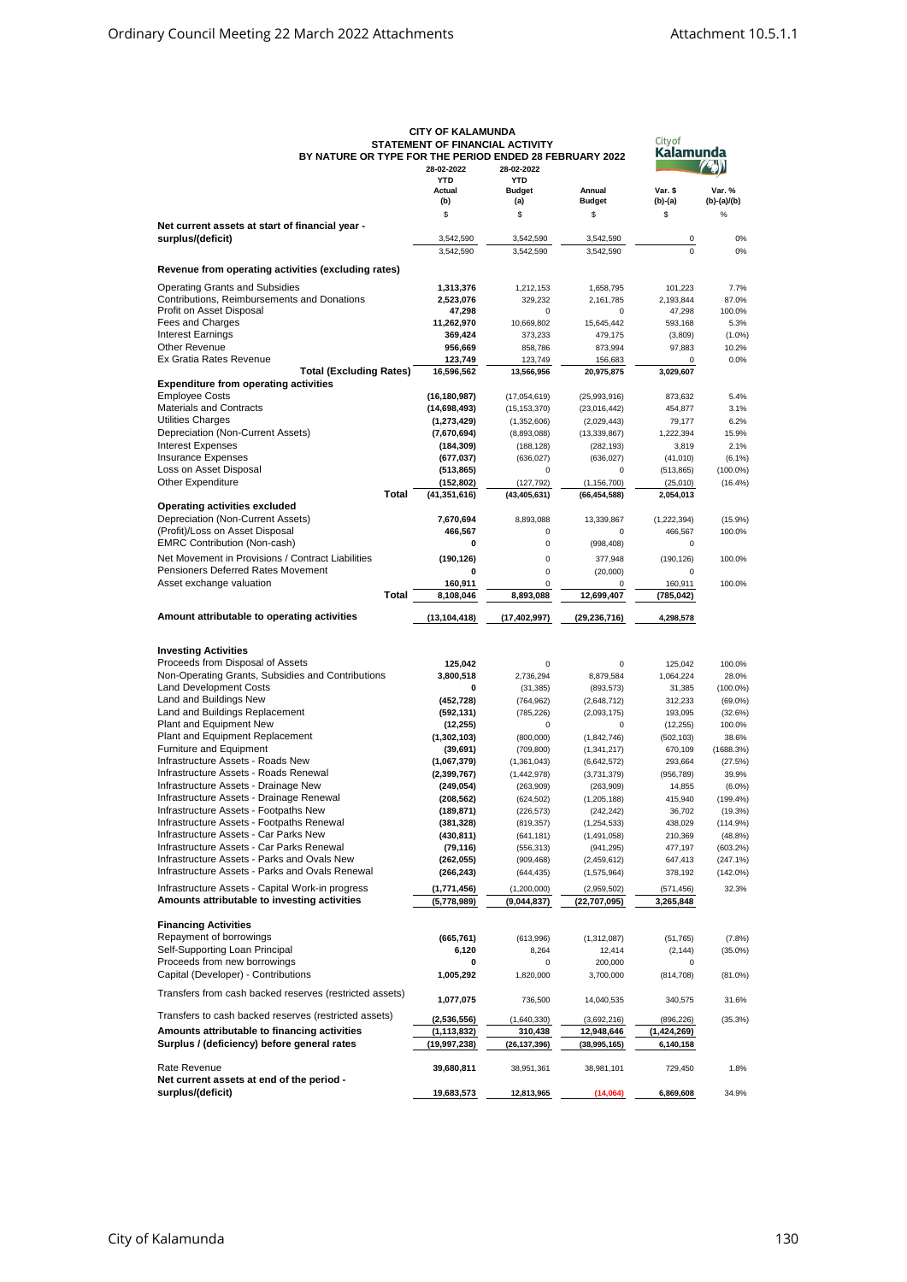|                                                         | <b>UIITUF NALAWUNDA</b>         |                |                | <b>City of</b> |             |
|---------------------------------------------------------|---------------------------------|----------------|----------------|----------------|-------------|
|                                                         | STATEMENT OF FINANCIAL ACTIVITY |                |                | Kalamunda      |             |
| BY NATURE OR TYPE FOR THE PERIOD ENDED 28 FEBRUARY 2022 |                                 |                |                |                |             |
|                                                         | 28-02-2022                      | 28-02-2022     |                |                |             |
|                                                         | <b>YTD</b>                      | <b>YTD</b>     |                |                |             |
|                                                         | Actual                          | <b>Budget</b>  | Annual         | Var. \$        | Var. %      |
|                                                         | (b)                             | (a)            | <b>Budget</b>  | (b)-(a)        | (b)-(a)/(b) |
|                                                         | \$                              | \$             | \$             | \$             | $\%$        |
| Net current assets at start of financial year -         |                                 |                |                |                |             |
| surplus/(deficit)                                       | 3,542,590                       | 3,542,590      | 3,542,590      | 0              | 0%          |
|                                                         | 3,542,590                       | 3,542,590      | 3,542,590      | $\Omega$       | 0%          |
|                                                         |                                 |                |                |                |             |
| Revenue from operating activities (excluding rates)     |                                 |                |                |                |             |
| <b>Operating Grants and Subsidies</b>                   | 1,313,376                       | 1,212,153      | 1,658,795      | 101,223        | 7.7%        |
| Contributions, Reimbursements and Donations             | 2,523,076                       | 329,232        | 2,161,785      | 2,193,844      | 87.0%       |
| Profit on Asset Disposal                                | 47,298                          | 0              | 0              | 47,298         | 100.0%      |
| Fees and Charges                                        |                                 | 10,669,802     |                |                | 5.3%        |
|                                                         | 11,262,970                      |                | 15,645,442     | 593,168        |             |
| <b>Interest Earnings</b>                                | 369,424                         | 373,233        | 479,175        | (3,809)        | $(1.0\%)$   |
| <b>Other Revenue</b>                                    | 956,669                         | 858,786        | 873,994        | 97,883         | 10.2%       |
| Ex Gratia Rates Revenue                                 | 123,749                         | 123,749        | 156,683        | $\Omega$       | 0.0%        |
| <b>Total (Excluding Rates)</b>                          | 16,596,562                      | 13,566,956     | 20,975,875     | 3,029,607      |             |
| <b>Expenditure from operating activities</b>            |                                 |                |                |                |             |
| Employee Costs                                          | (16, 180, 987)                  | (17,054,619)   | (25,993,916)   | 873,632        | 5.4%        |
| <b>Materials and Contracts</b>                          | (14,698,493)                    | (15, 153, 370) | (23,016,442)   | 454,877        | 3.1%        |
| <b>Utilities Charges</b>                                | (1, 273, 429)                   | (1,352,606)    | (2,029,443)    | 79,177         | 6.2%        |
| Depreciation (Non-Current Assets)                       | (7,670,694)                     | (8,893,088)    | (13, 339, 867) | 1,222,394      | 15.9%       |
| <b>Interest Expenses</b>                                |                                 |                |                |                | 2.1%        |
|                                                         | (184,309)                       | (188, 128)     | (282, 193)     | 3,819          |             |
| <b>Insurance Expenses</b>                               | (677, 037)                      | (636, 027)     | (636, 027)     | (41, 010)      | $(6.1\%)$   |
| Loss on Asset Disposal                                  | (513, 865)                      | 0              | 0              | (513, 865)     | $(100.0\%)$ |
| <b>Other Expenditure</b>                                | (152, 802)                      | (127, 792)     | (1, 156, 700)  | (25,010)       | $(16.4\%)$  |
| Total                                                   | (41, 351, 616)                  | (43, 405, 631) | (66, 454, 588) | 2,054,013      |             |
| <b>Operating activities excluded</b>                    |                                 |                |                |                |             |
| Depreciation (Non-Current Assets)                       | 7,670,694                       | 8,893,088      | 13,339,867     | (1,222,394)    | (15.9%)     |
| (Profit)/Loss on Asset Disposal                         | 466,567                         | 0              | 0              | 466,567        | 100.0%      |
| <b>EMRC Contribution (Non-cash)</b>                     | 0                               | $\pmb{0}$      | (998, 408)     | $\Omega$       |             |
| Net Movement in Provisions / Contract Liabilities       |                                 |                |                |                |             |
|                                                         | (190, 126)                      | $\pmb{0}$      | 377,948        | (190, 126)     | 100.0%      |
| Pensioners Deferred Rates Movement                      | 0                               | $\pmb{0}$      | (20,000)       | 0              |             |
| Asset exchange valuation                                | 160,911                         | $\mathbf 0$    | $\mathbf 0$    | 160,911        | 100.0%      |
| Total                                                   | 8,108,046                       | 8,893,088      | 12,699,407     | (785, 042)     |             |
|                                                         |                                 |                |                |                |             |
| Amount attributable to operating activities             | (13, 104, 418)                  | (17, 402, 997) | (29, 236, 716) | 4,298,578      |             |
|                                                         |                                 |                |                |                |             |
|                                                         |                                 |                |                |                |             |
| <b>Investing Activities</b>                             |                                 |                |                |                |             |
| Proceeds from Disposal of Assets                        | 125,042                         | 0              | 0              | 125,042        | 100.0%      |
| Non-Operating Grants, Subsidies and Contributions       | 3,800,518                       | 2,736,294      | 8,879,584      | 1,064,224      | 28.0%       |
| <b>Land Development Costs</b>                           | 0                               | (31, 385)      | (893, 573)     | 31,385         | $(100.0\%)$ |
| Land and Buildings New                                  | (452, 728)                      | (764, 962)     | (2,648,712)    | 312,233        | $(69.0\%)$  |
| Land and Buildings Replacement                          | (592, 131)                      | (785, 226)     | (2,093,175)    | 193,095        | (32.6%)     |
| Plant and Equipment New                                 | (12, 255)                       | 0              | $\mathbf 0$    | (12, 255)      | 100.0%      |
| Plant and Equipment Replacement                         |                                 |                |                |                | 38.6%       |
| Furniture and Equipment                                 | (1,302,103)                     | (800,000)      | (1,842,746)    | (502, 103)     |             |
|                                                         | (39, 691)                       | (709, 800)     | (1,341,217)    | 670,109        | (1688.3%)   |
| Infrastructure Assets - Roads New                       | (1,067,379)                     | (1,361,043)    | (6,642,572)    | 293,664        | (27.5%)     |
| Infrastructure Assets - Roads Renewal                   | (2, 399, 767)                   | (1,442,978)    | (3,731,379)    | (956, 789)     | 39.9%       |
| Infrastructure Assets - Drainage New                    | (249, 054)                      | (263,909)      | (263,909)      | 14,855         | $(6.0\%)$   |
| Infrastructure Assets - Drainage Renewal                | (208, 562)                      | (624, 502)     | (1, 205, 188)  | 415,940        | $(199.4\%)$ |
| Infrastructure Assets - Footpaths New                   | (189, 871)                      | (226, 573)     | (242, 242)     | 36,702         | (19.3%)     |
| Infrastructure Assets - Footpaths Renewal               | (381, 328)                      | (819, 357)     | (1, 254, 533)  | 438,029        | (114.9%)    |
| Infrastructure Assets - Car Parks New                   | (430, 811)                      | (641, 181)     | (1,491,058)    | 210,369        | $(48.8\%)$  |
| Infrastructure Assets - Car Parks Renewal               | (79, 116)                       | (556, 313)     | (941, 295)     | 477,197        | (603.2%)    |
| Infrastructure Assets - Parks and Ovals New             | (262, 055)                      | (909, 468)     | (2,459,612)    | 647,413        | (247.1%)    |
| Infrastructure Assets - Parks and Ovals Renewal         |                                 |                |                | 378,192        | $(142.0\%)$ |
|                                                         | (266, 243)                      | (644, 435)     | (1,575,964)    |                |             |
| Infrastructure Assets - Capital Work-in progress        | (1,771,456)                     | (1,200,000)    | (2,959,502)    | (571, 456)     | 32.3%       |
| Amounts attributable to investing activities            | (5,778,989)                     | (9,044,837)    | (22, 707, 095) | 3,265,848      |             |
|                                                         |                                 |                |                |                |             |
| <b>Financing Activities</b>                             |                                 |                |                |                |             |
| Repayment of borrowings                                 | (665, 761)                      | (613,996)      | (1,312,087)    | (51, 765)      | (7.8%)      |
| Self-Supporting Loan Principal                          | 6,120                           | 8,264          | 12,414         | (2, 144)       | $(35.0\%)$  |
| Proceeds from new borrowings                            | 0                               | 0              | 200,000        | 0              |             |
| Capital (Developer) - Contributions                     |                                 |                |                |                |             |
|                                                         | 1,005,292                       | 1,820,000      | 3,700,000      | (814, 708)     | $(81.0\%)$  |
| Transfers from cash backed reserves (restricted assets) |                                 |                |                |                |             |
|                                                         | 1,077,075                       | 736,500        | 14,040,535     | 340,575        | 31.6%       |
| Transfers to cash backed reserves (restricted assets)   |                                 |                |                |                |             |
|                                                         | (2,536,556)                     | (1,640,330)    | (3,692,216)    | (896, 226)     | (35.3%)     |
| Amounts attributable to financing activities            | (1, 113, 832)                   | 310,438        | 12,948,646     | (1,424,269)    |             |
| Surplus / (deficiency) before general rates             | (19,997,238)                    | (26, 137, 396) | (38,995,165)   | 6,140,158      |             |
|                                                         |                                 |                |                |                |             |
| Rate Revenue                                            | 39,680,811                      | 38,951,361     | 38,981,101     | 729,450        | 1.8%        |
| Net current assets at end of the period -               |                                 |                |                |                |             |
| surplus/(deficit)                                       | 19,683,573                      | 12,813,965     | (14,064)       | 6,869,608      | 34.9%       |
|                                                         |                                 |                |                |                |             |

## **CITY OF KALAMUNDA STATEMENT OF FINANCIAL ACTIVITY**